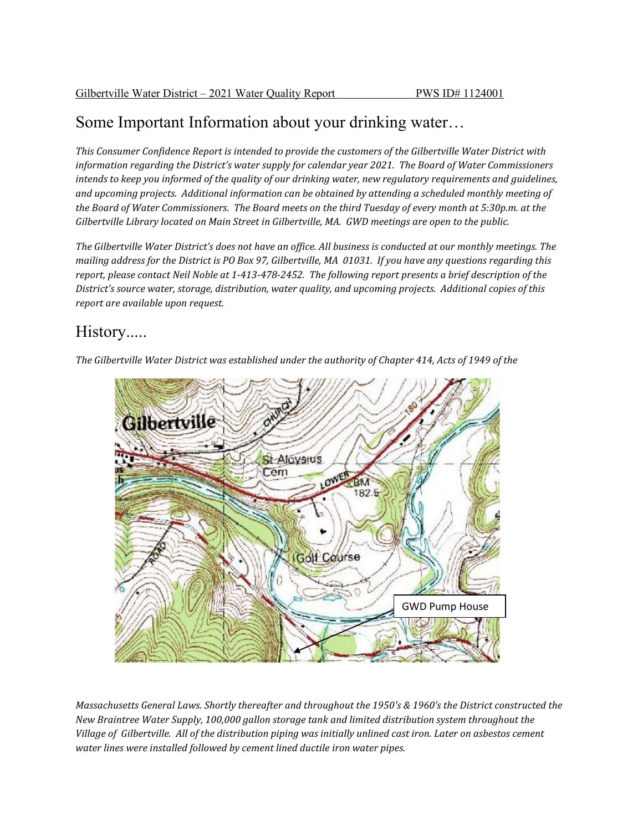### Some Important Information about your drinking water…

*This Consumer Confidence Report is intended to provide the customers of the Gilbertville Water District with information regarding the District's water supply for calendar year 2021. The Board of Water Commissioners intends to keep you informed of the quality of our drinking water, new regulatory requirements and guidelines, and upcoming projects. Additional information can be obtained by attending a scheduled monthly meeting of the Board of Water Commissioners. The Board meets on the third Tuesday of every month at 5:30p.m. at the Gilbertville Library located on Main Street in Gilbertville, MA. GWD meetings are open to the public.*

*The Gilbertville Water District's does not have an office. All business is conducted at our monthly meetings. The mailing address for the District is PO Box 97, Gilbertville, MA 01031. If you have any questions regarding this report, please contact Neil Noble at 1-413-478-2452. The following report presents a brief description of the District's source water, storage, distribution, water quality, and upcoming projects. Additional copies of this report are available upon request.*

## History.....

*The Gilbertville Water District was established under the authority of Chapter 414, Acts of 1949 of the*



*Massachusetts General Laws. Shortly thereafter and throughout the 1950's & 1960's the District constructed the New Braintree Water Supply, 100,000 gallon storage tank and limited distribution system throughout the Village of Gilbertville. All of the distribution piping was initially unlined cast iron. Later on asbestos cement water lines were installed followed by cement lined ductile iron water pipes.*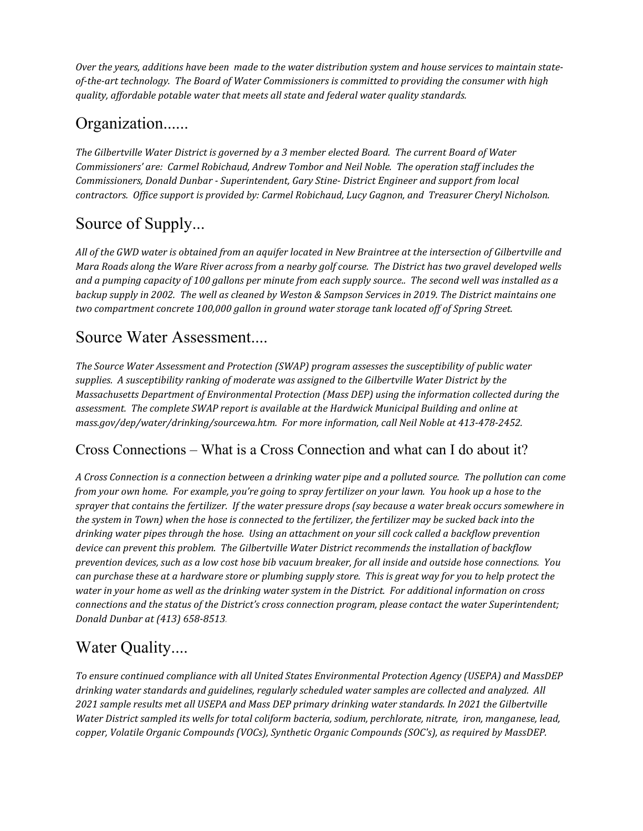*Over the years, additions have been made to the water distribution system and house services to maintain stateof-the-art technology. The Board of Water Commissioners is committed to providing the consumer with high quality, affordable potable water that meets all state and federal water quality standards.*

## Organization......

*The Gilbertville Water District is governed by a 3 member elected Board. The current Board of Water Commissioners' are: Carmel Robichaud, Andrew Tombor and Neil Noble. The operation staff includes the Commissioners, Donald Dunbar - Superintendent, Gary Stine- District Engineer and support from local contractors. Office support is provided by: Carmel Robichaud, Lucy Gagnon, and Treasurer Cheryl Nicholson.*

# Source of Supply...

*All of the GWD water is obtained from an aquifer located in New Braintree at the intersection of Gilbertville and Mara Roads along the Ware River across from a nearby golf course. The District has two gravel developed wells and a pumping capacity of 100 gallons per minute from each supply source.. The second well was installed as a backup supply in 2002. The well as cleaned by Weston & Sampson Services in 2019. The District maintains one two compartment concrete 100,000 gallon in ground water storage tank located off of Spring Street.*

#### Source Water Assessment....

*The Source Water Assessment and Protection (SWAP) program assesses the susceptibility of public water supplies. A susceptibility ranking of moderate was assigned to the Gilbertville Water District by the Massachusetts Department of Environmental Protection (Mass DEP) using the information collected during the assessment. The complete SWAP report is available at the Hardwick Municipal Building and online at mass.gov/dep/water/drinking/sourcewa.htm. For more information, call Neil Noble at 413-478-2452.*

#### Cross Connections – What is a Cross Connection and what can I do about it?

*A Cross Connection is a connection between a drinking water pipe and a polluted source. The pollution can come from your own home. For example, you're going to spray fertilizer on your lawn. You hook up a hose to the sprayer that contains the fertilizer. If the water pressure drops (say because a water break occurs somewhere in the system in Town) when the hose is connected to the fertilizer, the fertilizer may be sucked back into the drinking water pipes through the hose. Using an attachment on your sill cock called a backflow prevention device can prevent this problem. The Gilbertville Water District recommends the installation of backflow prevention devices, such as a low cost hose bib vacuum breaker, for all inside and outside hose connections. You can purchase these at a hardware store or plumbing supply store. This is great way for you to help protect the water in your home as well as the drinking water system in the District. For additional information on cross connections and the status of the District's cross connection program, please contact the water Superintendent; Donald Dunbar at (413) 658-8513.*

# Water Quality....

*To ensure continued compliance with all United States Environmental Protection Agency (USEPA) and MassDEP drinking water standards and guidelines, regularly scheduled water samples are collected and analyzed. All 2021 sample results met all USEPA and Mass DEP primary drinking water standards. In 2021 the Gilbertville Water District sampled its wells for total coliform bacteria, sodium, perchlorate, nitrate, iron, manganese, lead, copper, Volatile Organic Compounds (VOCs), Synthetic Organic Compounds (SOC's), as required by MassDEP.*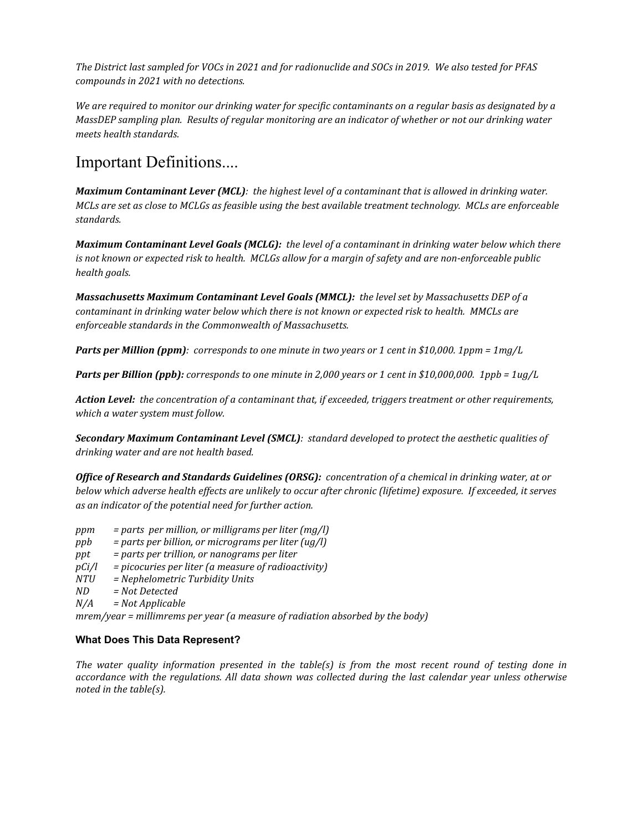*The District last sampled for VOCs in 2021 and for radionuclide and SOCs in 2019. We also tested for PFAS compounds in 2021 with no detections.*

*We are required to monitor our drinking water for specific contaminants on a regular basis as designated by a MassDEP sampling plan. Results of regular monitoring are an indicator of whether or not our drinking water meets health standards.* 

#### Important Definitions....

*Maximum Contaminant Lever (MCL): the highest level of a contaminant that is allowed in drinking water. MCLs are set as close to MCLGs as feasible using the best available treatment technology. MCLs are enforceable standards.*

*Maximum Contaminant Level Goals (MCLG): the level of a contaminant in drinking water below which there is not known or expected risk to health. MCLGs allow for a margin of safety and are non-enforceable public health goals.*

*Massachusetts Maximum Contaminant Level Goals (MMCL): the level set by Massachusetts DEP of a contaminant in drinking water below which there is not known or expected risk to health. MMCLs are enforceable standards in the Commonwealth of Massachusetts.*

*Parts per Million (ppm): corresponds to one minute in two years or 1 cent in \$10,000. 1ppm = 1mg/L*

*Parts per Billion (ppb): corresponds to one minute in 2,000 years or 1 cent in \$10,000,000. 1ppb = 1ug/L*

*Action Level: the concentration of a contaminant that, if exceeded, triggers treatment or other requirements, which a water system must follow.*

*Secondary Maximum Contaminant Level (SMCL): standard developed to protect the aesthetic qualities of drinking water and are not health based.*

*Office of Research and Standards Guidelines (ORSG): concentration of a chemical in drinking water, at or below which adverse health effects are unlikely to occur after chronic (lifetime) exposure. If exceeded, it serves as an indicator of the potential need for further action.*

- *ppm = parts per million, or milligrams per liter (mg/l)*
- *ppb = parts per billion, or micrograms per liter (ug/l)*
- *ppt = parts per trillion, or nanograms per liter*
- *pCi/l = picocuries per liter (a measure of radioactivity)*
- *NTU = Nephelometric Turbidity Units*
- *ND = Not Detected*
- *N/A = Not Applicable*

*mrem/year = millimrems per year (a measure of radiation absorbed by the body)*

#### **What Does This Data Represent?**

*The water quality information presented in the table(s) is from the most recent round of testing done in accordance with the regulations. All data shown was collected during the last calendar year unless otherwise noted in the table(s).*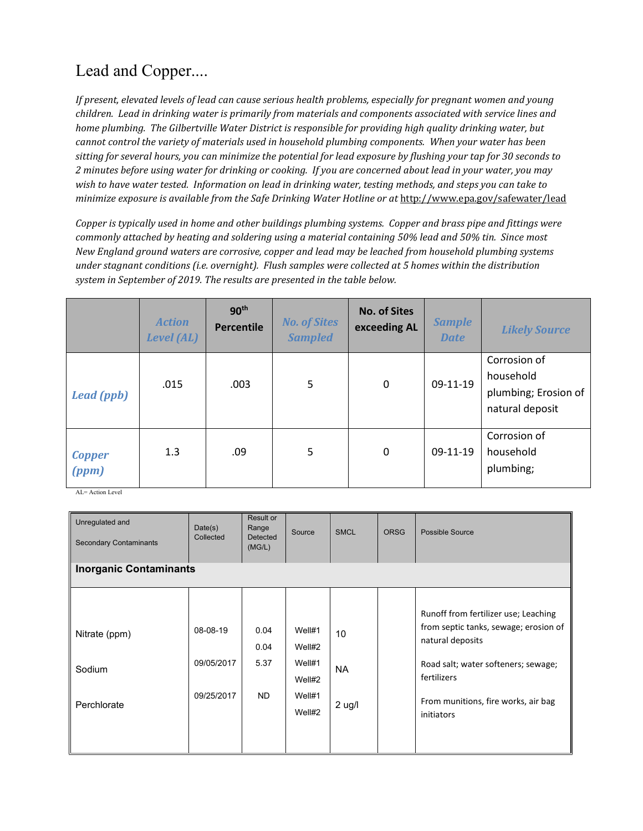# Lead and Copper....

*If present, elevated levels of lead can cause serious health problems, especially for pregnant women and young children. Lead in drinking water is primarily from materials and components associated with service lines and home plumbing. The Gilbertville Water District is responsible for providing high quality drinking water, but cannot control the variety of materials used in household plumbing components. When your water has been sitting for several hours, you can minimize the potential for lead exposure by flushing your tap for 30 seconds to 2 minutes before using water for drinking or cooking. If you are concerned about lead in your water, you may wish to have water tested. Information on lead in drinking water, testing methods, and steps you can take to minimize exposure is available from the Safe Drinking Water Hotline or at* <http://www.epa.gov/safewater/lead>

*Copper is typically used in home and other buildings plumbing systems. Copper and brass pipe and fittings were commonly attached by heating and soldering using a material containing 50% lead and 50% tin. Since most New England ground waters are corrosive, copper and lead may be leached from household plumbing systems under stagnant conditions (i.e. overnight). Flush samples were collected at 5 homes within the distribution system in September of 2019. The results are presented in the table below.*

|                        | <b>Action</b><br><b>Level (AL)</b> | 90 <sup>th</sup><br><b>Percentile</b> | <b>No. of Sites</b><br><b>Sampled</b> | <b>No. of Sites</b><br>exceeding AL | <b>Sample</b><br><b>Date</b> | <b>Likely Source</b>                                                 |
|------------------------|------------------------------------|---------------------------------------|---------------------------------------|-------------------------------------|------------------------------|----------------------------------------------------------------------|
| <b>Lead (ppb)</b>      | .015                               | .003                                  | 5                                     | 0                                   | 09-11-19                     | Corrosion of<br>household<br>plumbing; Erosion of<br>natural deposit |
| <b>Copper</b><br>(ppm) | 1.3                                | .09                                   | 5                                     | 0                                   | 09-11-19                     | Corrosion of<br>household<br>plumbing;                               |

 $AI = Action Level$ 

| Unregulated and<br><b>Secondary Contaminants</b> | Date(s)<br>Collected                 | Result or<br>Range<br><b>Detected</b><br>(MG/L) | Source                                                   | <b>SMCL</b>                 | <b>ORSG</b> | Possible Source                                                                                                                                                                                              |  |  |
|--------------------------------------------------|--------------------------------------|-------------------------------------------------|----------------------------------------------------------|-----------------------------|-------------|--------------------------------------------------------------------------------------------------------------------------------------------------------------------------------------------------------------|--|--|
| <b>Inorganic Contaminants</b>                    |                                      |                                                 |                                                          |                             |             |                                                                                                                                                                                                              |  |  |
| Nitrate (ppm)<br>Sodium<br>Perchlorate           | 08-08-19<br>09/05/2017<br>09/25/2017 | 0.04<br>0.04<br>5.37<br><b>ND</b>               | Well#1<br>Well#2<br>Well#1<br>Well#2<br>Well#1<br>Well#2 | 10<br><b>NA</b><br>$2$ ug/l |             | Runoff from fertilizer use; Leaching<br>from septic tanks, sewage; erosion of<br>natural deposits<br>Road salt; water softeners; sewage;<br>fertilizers<br>From munitions, fire works, air bag<br>initiators |  |  |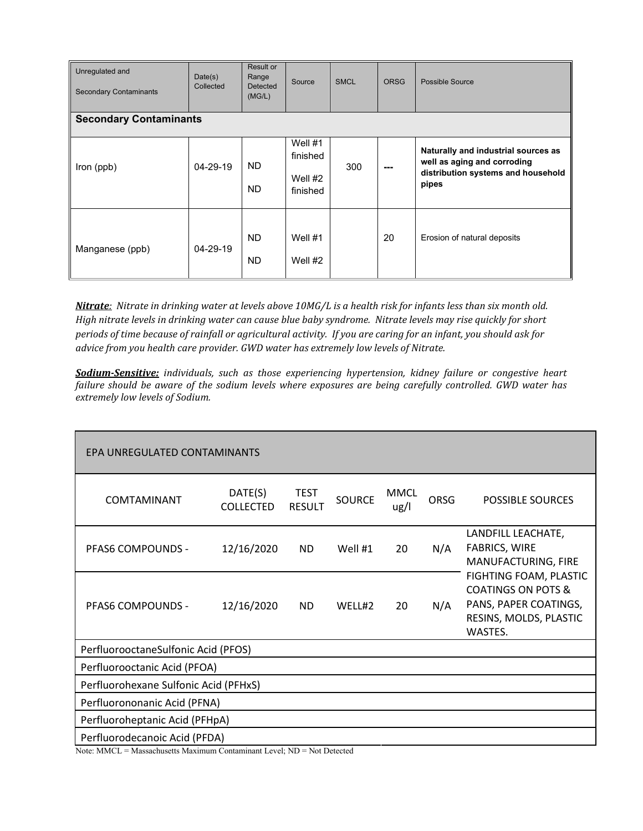| Unregulated and<br><b>Secondary Contaminants</b> | Date(s)<br>Collected | Result or<br>Range<br>Detected<br>(MG/L) | Source                                         | <b>SMCL</b> | <b>ORSG</b> | Possible Source                                                                                                   |  |
|--------------------------------------------------|----------------------|------------------------------------------|------------------------------------------------|-------------|-------------|-------------------------------------------------------------------------------------------------------------------|--|
| <b>Secondary Contaminants</b>                    |                      |                                          |                                                |             |             |                                                                                                                   |  |
| Iron (ppb)                                       | $04 - 29 - 19$       | ND.<br>ND.                               | Well $#1$<br>finished<br>Well $#2$<br>finished | 300         | ---         | Naturally and industrial sources as<br>well as aging and corroding<br>distribution systems and household<br>pipes |  |
| Manganese (ppb)                                  | $04 - 29 - 19$       | <b>ND</b><br>ND.                         | Well $#1$<br>Well $#2$                         |             | 20          | Erosion of natural deposits                                                                                       |  |

*Nitrate: Nitrate in drinking water at levels above 10MG/L is a health risk for infants less than six month old. High nitrate levels in drinking water can cause blue baby syndrome. Nitrate levels may rise quickly for short periods of time because of rainfall or agricultural activity. If you are caring for an infant, you should ask for advice from you health care provider. GWD water has extremely low levels of Nitrate.*

*Sodium-Sensitive: individuals, such as those experiencing hypertension, kidney failure or congestive heart failure should be aware of the sodium levels where exposures are being carefully controlled. GWD water has extremely low levels of Sodium.*

| EPA UNREGULATED CONTAMINANTS          |                             |                              |               |                     |      |                                                                                                                       |  |  |  |
|---------------------------------------|-----------------------------|------------------------------|---------------|---------------------|------|-----------------------------------------------------------------------------------------------------------------------|--|--|--|
| COMTAMINANT                           | DATE(S)<br><b>COLLECTED</b> | <b>TEST</b><br><b>RESULT</b> | <b>SOURCE</b> | <b>MMCL</b><br>ug/l | ORSG | <b>POSSIBLE SOURCES</b>                                                                                               |  |  |  |
| <b>PFAS6 COMPOUNDS -</b>              | 12/16/2020                  | ND.                          | Well #1       | 20                  | N/A  | LANDFILL LEACHATE,<br><b>FABRICS, WIRE</b><br>MANUFACTURING, FIRE                                                     |  |  |  |
| <b>PFAS6 COMPOUNDS -</b>              | 12/16/2020                  | <b>ND</b>                    | WELL#2        | 20                  | N/A  | FIGHTING FOAM, PLASTIC<br><b>COATINGS ON POTS &amp;</b><br>PANS, PAPER COATINGS,<br>RESINS, MOLDS, PLASTIC<br>WASTES. |  |  |  |
| PerfluorooctaneSulfonic Acid (PFOS)   |                             |                              |               |                     |      |                                                                                                                       |  |  |  |
| Perfluorooctanic Acid (PFOA)          |                             |                              |               |                     |      |                                                                                                                       |  |  |  |
| Perfluorohexane Sulfonic Acid (PFHxS) |                             |                              |               |                     |      |                                                                                                                       |  |  |  |
| Perfluorononanic Acid (PFNA)          |                             |                              |               |                     |      |                                                                                                                       |  |  |  |
| Perfluoroheptanic Acid (PFHpA)        |                             |                              |               |                     |      |                                                                                                                       |  |  |  |
| Perfluorodecanoic Acid (PFDA)         |                             |                              |               |                     |      |                                                                                                                       |  |  |  |

Note: MMCL = Massachusetts Maximum Contaminant Level; ND = Not Detected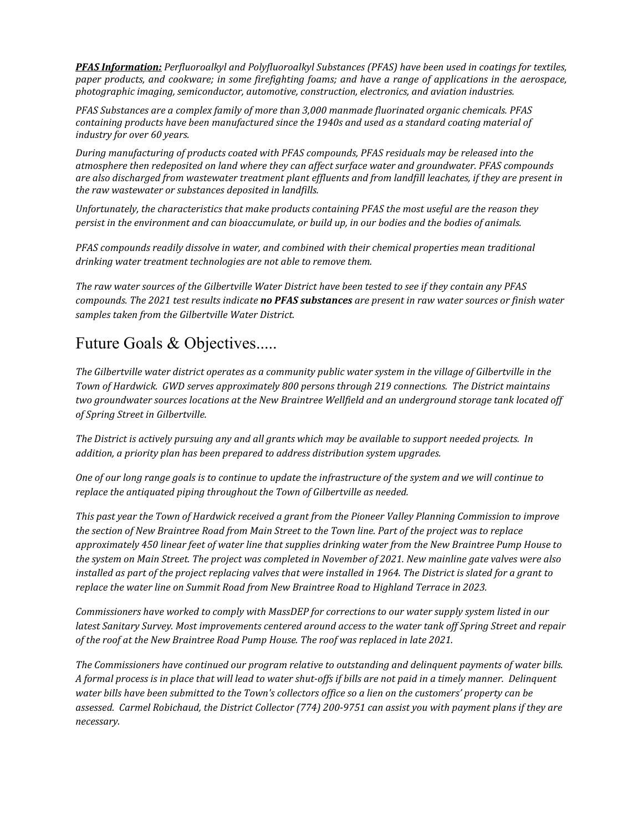*PFAS Information: [Perfluoroalkyl and Polyfluoroalkyl Substances \(PFAS\)](https://www.enviro.wiki/index.php?title=Perfluoroalkyl_and_Polyfluoroalkyl_Substances_(PFAS)) have been used in coatings for textiles, paper products, and cookware; in some firefighting foams; and have a range of applications in the aerospace, photographic imaging, semiconductor, automotive, construction, electronics, and aviation industries.* 

*PFAS Substances are a complex family of more than 3,000 manmade fluorinated organic chemicals. PFAS containing products have been manufactured since the 1940s and used as a standard coating material of industry for over 60 years.* 

*During manufacturing of products coated with PFAS compounds, PFAS residuals may be released into the atmosphere then redeposited on land where they can affect surface water and groundwater. PFAS compounds are also discharged from wastewater treatment plant effluents and from landfill leachates, if they are present in the raw wastewater or substances deposited in landfills.* 

*Unfortunately, the characteristics that make products containing PFAS the most useful are the reason they persist in the environment and can bioaccumulate, or build up, in our bodies and the bodies of animals.*

*PFAS compounds readily dissolve in water, and combined with their chemical properties mean traditional drinking water treatment technologies are not able to remove them.* 

*The raw water sources of the Gilbertville Water District have been tested to see if they contain any PFAS compounds. The 2021 test results indicate no PFAS substances are present in raw water sources or finish water samples taken from the Gilbertville Water District.*

## Future Goals & Objectives.....

*The Gilbertville water district operates as a community public water system in the village of Gilbertville in the Town of Hardwick. GWD serves approximately 800 persons through 219 connections. The District maintains two groundwater sources locations at the New Braintree Wellfield and an underground storage tank located off of Spring Street in Gilbertville.*

*The District is actively pursuing any and all grants which may be available to support needed projects. In addition, a priority plan has been prepared to address distribution system upgrades.*

*One of our long range goals is to continue to update the infrastructure of the system and we will continue to replace the antiquated piping throughout the Town of Gilbertville as needed.*

*This past year the Town of Hardwick received a grant from the Pioneer Valley Planning Commission to improve the section of New Braintree Road from Main Street to the Town line. Part of the project was to replace approximately 450 linear feet of water line that supplies drinking water from the New Braintree Pump House to the system on Main Street. The project was completed in November of 2021. New mainline gate valves were also installed as part of the project replacing valves that were installed in 1964. The District is slated for a grant to replace the water line on Summit Road from New Braintree Road to Highland Terrace in 2023.*

*Commissioners have worked to comply with MassDEP for corrections to our water supply system listed in our latest Sanitary Survey. Most improvements centered around access to the water tank off Spring Street and repair of the roof at the New Braintree Road Pump House. The roof was replaced in late 2021.*

*The Commissioners have continued our program relative to outstanding and delinquent payments of water bills. A formal process is in place that will lead to water shut-offs if bills are not paid in a timely manner. Delinquent water bills have been submitted to the Town's collectors office so a lien on the customers' property can be assessed. Carmel Robichaud, the District Collector (774) 200-9751 can assist you with payment plans if they are necessary.*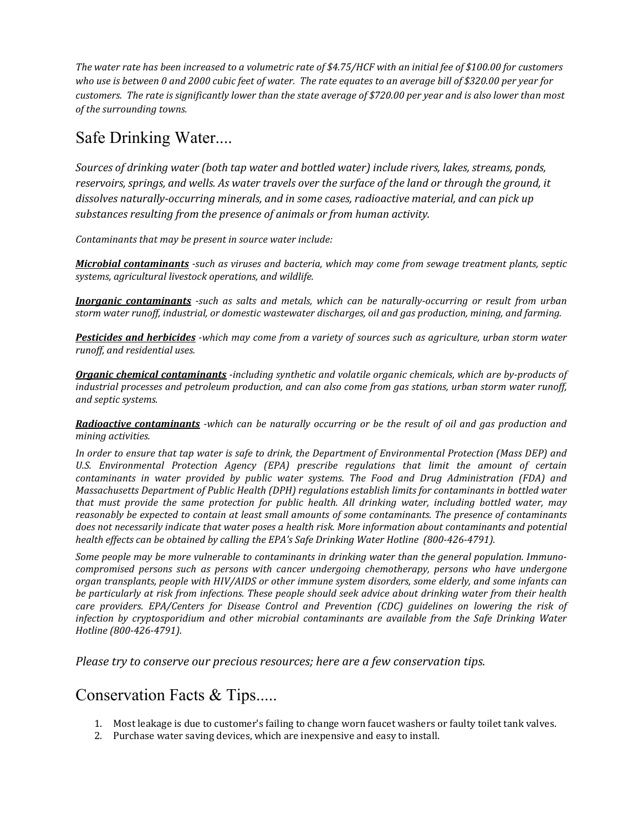*The water rate has been increased to a volumetric rate of \$4.75/HCF with an initial fee of \$100.00 for customers who use is between 0 and 2000 cubic feet of water. The rate equates to an average bill of \$320.00 per year for customers. The rate is significantly lower than the state average of \$720.00 per year and is also lower than most of the surrounding towns.*

#### Safe Drinking Water....

*Sources of drinking water (both tap water and bottled water) include rivers, lakes, streams, ponds, reservoirs, springs, and wells. As water travels over the surface of the land or through the ground, it dissolves naturally-occurring minerals, and in some cases, radioactive material, and can pick up substances resulting from the presence of animals or from human activity.* 

*Contaminants that may be present in source water include:*

*Microbial contaminants -such as viruses and bacteria, which may come from sewage treatment plants, septic systems, agricultural livestock operations, and wildlife.*

*Inorganic contaminants -such as salts and metals, which can be naturally-occurring or result from urban storm water runoff, industrial, or domestic wastewater discharges, oil and gas production, mining, and farming.* 

*Pesticides and herbicides -which may come from a variety of sources such as agriculture, urban storm water runoff, and residential uses.* 

*Organic chemical contaminants -including synthetic and volatile organic chemicals, which are by-products of industrial processes and petroleum production, and can also come from gas stations, urban storm water runoff, and septic systems.*

*Radioactive contaminants -which can be naturally occurring or be the result of oil and gas production and mining activities.*

*In order to ensure that tap water is safe to drink, the Department of Environmental Protection (Mass DEP) and U.S. Environmental Protection Agency (EPA) prescribe regulations that limit the amount of certain contaminants in water provided by public water systems. The Food and Drug Administration (FDA) and Massachusetts Department of Public Health (DPH) regulations establish limits for contaminants in bottled water that must provide the same protection for public health. All drinking water, including bottled water, may reasonably be expected to contain at least small amounts of some contaminants. The presence of contaminants does not necessarily indicate that water poses a health risk. More information about contaminants and potential health effects can be obtained by calling the EPA's Safe Drinking Water Hotline (800-426-4791).* 

*Some people may be more vulnerable to contaminants in drinking water than the general population. Immunocompromised persons such as persons with cancer undergoing chemotherapy, persons who have undergone organ transplants, people with HIV/AIDS or other immune system disorders, some elderly, and some infants can be particularly at risk from infections. These people should seek advice about drinking water from their health care providers. EPA/Centers for Disease Control and Prevention (CDC) guidelines on lowering the risk of infection by cryptosporidium and other microbial contaminants are available from the Safe Drinking Water Hotline (800-426-4791).*

*Please try to conserve our precious resources; here are a few conservation tips.*

#### Conservation Facts & Tips.....

- 1. Most leakage is due to customer's failing to change worn faucet washers or faulty toilet tank valves.
- 2. Purchase water saving devices, which are inexpensive and easy to install.